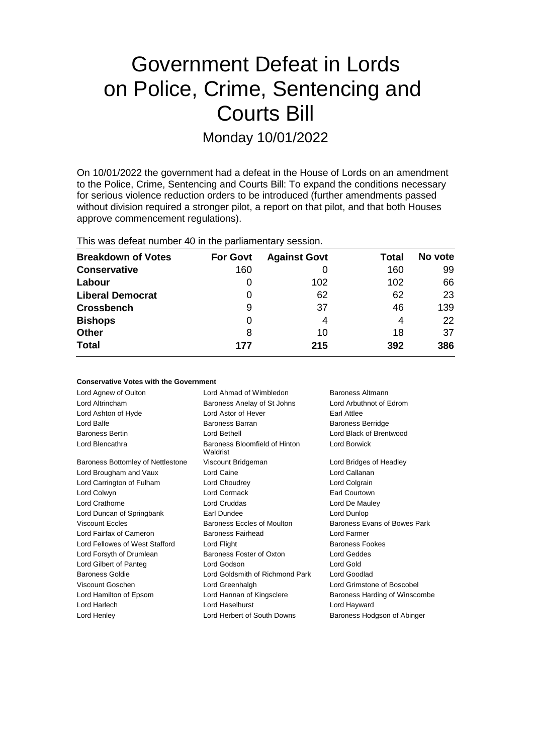# Government Defeat in Lords on Police, Crime, Sentencing and Courts Bill

Monday 10/01/2022

On 10/01/2022 the government had a defeat in the House of Lords on an amendment to the Police, Crime, Sentencing and Courts Bill: To expand the conditions necessary for serious violence reduction orders to be introduced (further amendments passed without division required a stronger pilot, a report on that pilot, and that both Houses approve commencement regulations).

This was defeat number 40 in the parliamentary session.

**Conservative Votes with the Government**

| <b>Breakdown of Votes</b> | <b>For Govt</b> | <b>Against Govt</b> | Total | No vote |
|---------------------------|-----------------|---------------------|-------|---------|
| <b>Conservative</b>       | 160             |                     | 160   | 99      |
| Labour                    | 0               | 102                 | 102   | 66      |
| <b>Liberal Democrat</b>   | 0               | 62                  | 62    | 23      |
| <b>Crossbench</b>         | 9               | 37                  | 46    | 139     |
| <b>Bishops</b>            | 0               | 4                   | 4     | 22      |
| <b>Other</b>              | 8               | 10                  | 18    | 37      |
| <b>Total</b>              | 177             | 215                 | 392   | 386     |

| CONSERVATIVE A OTES MITH THE QUAELITIENT |                                                    |                               |
|------------------------------------------|----------------------------------------------------|-------------------------------|
| Lord Agnew of Oulton                     | Lord Ahmad of Wimbledon<br><b>Baroness Altmann</b> |                               |
| Lord Altrincham                          | Baroness Anelay of St Johns                        | Lord Arbuthnot of Edrom       |
| Lord Ashton of Hyde                      | Lord Astor of Hever                                | <b>Earl Attlee</b>            |
| Lord Balfe                               | Baroness Barran                                    | <b>Baroness Berridge</b>      |
| <b>Baroness Bertin</b>                   | Lord Bethell                                       | Lord Black of Brentwood       |
| Lord Blencathra                          | Baroness Bloomfield of Hinton<br>Waldrist          | Lord Borwick                  |
| Baroness Bottomley of Nettlestone        | Viscount Bridgeman                                 | Lord Bridges of Headley       |
| Lord Brougham and Vaux                   | Lord Caine                                         | Lord Callanan                 |
| Lord Carrington of Fulham                | Lord Choudrey                                      | Lord Colgrain                 |
| Lord Colwyn                              | Lord Cormack                                       | Earl Courtown                 |
| Lord Crathorne                           | Lord Cruddas                                       | Lord De Mauley                |
| Lord Duncan of Springbank                | Earl Dundee                                        | Lord Dunlop                   |
| <b>Viscount Eccles</b>                   | Baroness Eccles of Moulton                         | Baroness Evans of Bowes Park  |
| Lord Fairfax of Cameron                  | Baroness Fairhead                                  | Lord Farmer                   |
| Lord Fellowes of West Stafford           | Lord Flight                                        | <b>Baroness Fookes</b>        |
| Lord Forsyth of Drumlean                 | Baroness Foster of Oxton                           | <b>Lord Geddes</b>            |
| Lord Gilbert of Panteg                   | Lord Godson                                        | Lord Gold                     |
| <b>Baroness Goldie</b>                   | Lord Goldsmith of Richmond Park                    | Lord Goodlad                  |
| Viscount Goschen                         | Lord Greenhalgh                                    | Lord Grimstone of Boscobel    |
| Lord Hamilton of Epsom                   | Lord Hannan of Kingsclere                          | Baroness Harding of Winscombe |
| Lord Harlech                             | Lord Haselhurst                                    | Lord Hayward                  |
| Lord Henley                              | Lord Herbert of South Downs                        | Baroness Hodgson of Abinger   |
|                                          |                                                    |                               |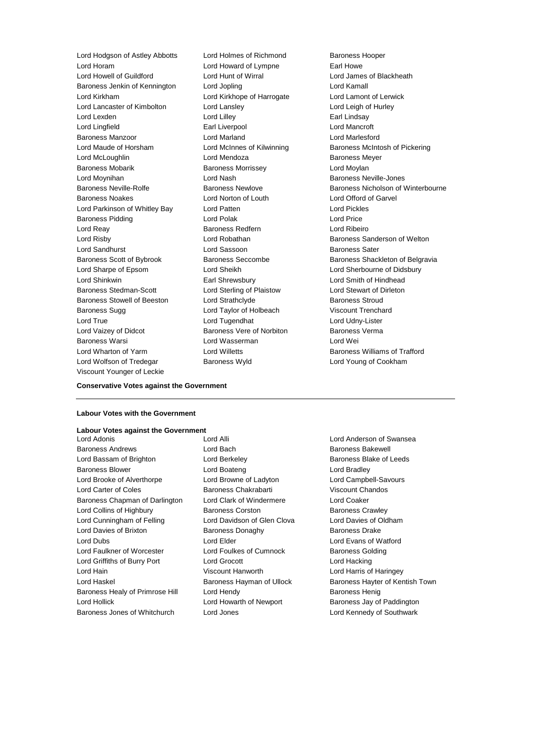Lord Hodgson of Astley Abbotts Lord Holmes of Richmond Baroness Hooper Lord Horam Lord Howard of Lympne Earl Howe Lord Howell of Guildford **Lord Hunt of Wirral** Lord Hunt of Wirral Lord James of Blackheath<br>
Baroness Jenkin of Kennington Lord Jopling **Lord Communisty Lord Kamall** Baroness Jenkin of Kennington Lord Jopling Lord Kamall Lord Kirkham Lord Kirkhope of Harrogate Lord Lamont of Lerwick Lord Lancaster of Kimbolton Lord Lansley Cord Let a Lord Leigh of Hurley Lord Lexden **Lord Lilley Lord Lilley Earl Lindsay** Lord Lingfield Earl Liverpool Lord Mancroft Baroness Manzoor Lord Marland Lord Marlesford Lord Maude of Horsham Lord McInnes of Kilwinning Baroness McIntosh of Pickering Lord McLoughlin Lord Mendoza Baroness Meyer Baroness Mobarik Baroness Morrissey Lord Moylan Lord Moynihan Lord Nash Baroness Neville-Jones Baroness Noakes Lord Norton of Louth Lord Offord of Garvel Lord Parkinson of Whitley Bay Lord Patten Lord Pickles Baroness Pidding **Lord Polak** Lord Polak **Lord Price** Lord Reay Baroness Redfern Lord Ribeiro Lord Risby **Lord Robathan** Baroness Sanderson of Welton Lord Sandhurst **Lord Sassoon** Baroness Sater Baroness Scott of Bybrook Baroness Seccombe Baroness Shackleton of Belgravia Lord Sharpe of Epsom Lord Sheikh Lord Sherbourne of Didsbury Lord Shinkwin Earl Shrewsbury Lord Smith of Hindhead Baroness Stedman-Scott Lord Sterling of Plaistow Lord Stewart of Dirleton Baroness Stowell of Beeston Lord Strathclyde **Baroness Stroud** Baroness Sugg 
and Lord Taylor of Holbeach 
Viscount Trenchard Lord True Lord Tugendhat Lord Udny-Lister Lord Vaizey of Didcot **Baroness Vere of Norbiton** Baroness Verma Baroness Warsi Lord Wasserman Lord Wei Lord Wharton of Yarm Lord Willetts Baroness Williams of Trafford Lord Wolfson of Tredegar **Baroness Wyld Baroness Wyld** Lord Young of Cookham Viscount Younger of Leckie

Baroness Neville-Rolfe **Baroness Newlove** Baroness Newlove **Baroness Nicholson of Winterbourne** 

## **Conservative Votes against the Government**

#### **Labour Votes with the Government**

#### **Labour Votes against the Government**

Baroness Andrews Lord Bach Baroness Bakewell Lord Bassam of Brighton Lord Berkeley **Baroness Blake of Leeds** Baroness Blower Lord Boateng Lord Bradley Lord Brooke of Alverthorpe Lord Browne of Ladyton Lord Campbell-Savours Lord Carter of Coles Baroness Chakrabarti Viscount Chandos Baroness Chapman of Darlington Lord Clark of Windermere Lord Coaker Lord Collins of Highbury Baroness Corston Baroness Crawley Lord Cunningham of Felling Lord Davidson of Glen Clova Lord Davies of Oldham Lord Davies of Brixton Baroness Donaghy Baroness Drake Lord Dubs Lord Elder Lord Evans of Watford Lord Faulkner of Worcester Lord Foulkes of Cumnock Baroness Golding Lord Griffiths of Burry Port Lord Grocott Lord Hacking Lord Hain Viscount Hanworth Lord Harris of Haringey Lord Haskel **Baroness Hayman of Ullock** Baroness Hayter of Kentish Town Baroness Healy of Primrose Hill Lord Hendy Contract Report Baroness Henig Lord Hollick **Lord Howarth of Newport** Baroness Jay of Paddington

Lord Adonis Lord Alli Lord Anderson of Swansea Baroness Jones of Whitchurch Lord Jones Lord Kennedy of Southwark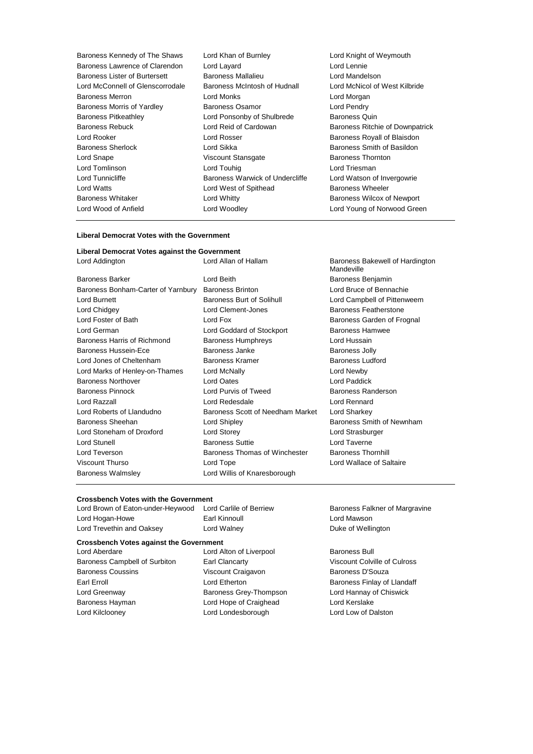| Baroness Kennedy of The Shaws    | Lord Khan of Burnley            | Lord Knight of Weymouth         |
|----------------------------------|---------------------------------|---------------------------------|
| Baroness Lawrence of Clarendon   | Lord Layard                     | Lord Lennie                     |
| Baroness Lister of Burtersett    | Baroness Mallalieu              | Lord Mandelson                  |
| Lord McConnell of Glenscorrodale | Baroness McIntosh of Hudnall    | Lord McNicol of West Kilbride   |
| Baroness Merron                  | Lord Monks                      | Lord Morgan                     |
| Baroness Morris of Yardley       | Baroness Osamor                 | Lord Pendry                     |
| <b>Baroness Pitkeathley</b>      | Lord Ponsonby of Shulbrede      | Baroness Quin                   |
| <b>Baroness Rebuck</b>           | Lord Reid of Cardowan           | Baroness Ritchie of Downpatrick |
| Lord Rooker                      | Lord Rosser                     | Baroness Royall of Blaisdon     |
| <b>Baroness Sherlock</b>         | Lord Sikka                      | Baroness Smith of Basildon      |
| Lord Snape                       | Viscount Stansgate              | <b>Baroness Thornton</b>        |
| Lord Tomlinson                   | Lord Touhig                     | Lord Triesman                   |
| Lord Tunnicliffe                 | Baroness Warwick of Undercliffe | Lord Watson of Invergowrie      |
| Lord Watts                       | Lord West of Spithead           | Baroness Wheeler                |
| Baroness Whitaker                | Lord Whitty                     | Baroness Wilcox of Newport      |
| Lord Wood of Anfield             | Lord Woodley                    | Lord Young of Norwood Green     |
|                                  |                                 |                                 |

#### **Liberal Democrat Votes with the Government**

# **Liberal Democrat Votes against the Government**

| <b>Baroness Barker</b>             | I ord Beith                  |
|------------------------------------|------------------------------|
| Baroness Bonham-Carter of Yarnbury | <b>Baroness Brinton</b>      |
| Lord Burnett                       | Baroness Burt of Solihull    |
| Lord Chidgey                       | Lord Clement-Jones           |
| Lord Foster of Bath                | Lord Fox                     |
| Lord German                        | Lord Goddard of Stockport    |
| Baroness Harris of Richmond        | <b>Baroness Humphreys</b>    |
| Baroness Hussein-Ece               | Baroness Janke               |
| Lord Jones of Cheltenham           | <b>Baroness Kramer</b>       |
| Lord Marks of Henley-on-Thames     | Lord McNally                 |
| <b>Baroness Northover</b>          | Lord Oates                   |
| Baroness Pinnock                   | Lord Purvis of Tweed         |
| Lord Razzall                       | Lord Redesdale               |
| Lord Roberts of Llandudno          | Baroness Scott of Needham I  |
| Baroness Sheehan                   | <b>Lord Shipley</b>          |
| Lord Stoneham of Droxford          | Lord Storey                  |
| Lord Stunell                       | <b>Baroness Suttie</b>       |
| Lord Teverson                      | Baroness Thomas of Winches   |
| Viscount Thurso                    | Lord Tope                    |
| <b>Baroness Walmsley</b>           | Lord Willis of Knaresborough |
|                                    |                              |

Lord Addington Lord Allan of Hallam Baroness Bakewell of Hardington Mandeville Baroness Benjamin Lord Bruce of Bennachie olihull **Lord Campbell of Pittenweem** s **Exercise Children** Baroness Featherstone Baroness Garden of Frognal ockport **Baroness Hamwee** Baroness Harris Humphreys Humphreys Humphreys Humphreys And Hussain Baroness Jolly Baroness Ludford Lord Newby Lord Paddick ed Baroness Randerson Lord Rennard Veedham Market Lord Sharkey Baroness Smith of Newnham Lord Strasburger Lord Taverne of Winchester Baroness Thornhill Lord Wallace of Saltaire

#### **Crossbench Votes with the Government**

Lord Brown of Eaton-under-Heywood Lord Carlile of Berriew Baroness Falkner of Margravine Lord Hogan-Howe **Earl Kinnoull** Earl Kinnoull **Lord Mawson** Lord Trevethin and Oaksey **Lord Walney Communist Control Control** Duke of Wellington

## **Crossbench Votes against the Government**

Baroness Campbell of Surbiton Earl Clancarty Viscount Colville of Culross Baroness Coussins **Martings** Viscount Craigavon **Baroness D'Souza** Earl Erroll **Example 2** Lord Etherton **Communist Communist Communist Communist Communist Communist Communist Communist Communist Communist Communist Communist Communist Communist Communist Communist Communist Communist Com** Lord Greenway **Baroness Grey-Thompson** Lord Hannay of Chiswick Baroness Hayman **Markor Exercise Craighead** Lord Kerslake Lord Kilclooney Lord Londesborough Lord Low of Dalston

Lord Aberdare **Lord Alton of Liverpool** Baroness Bull